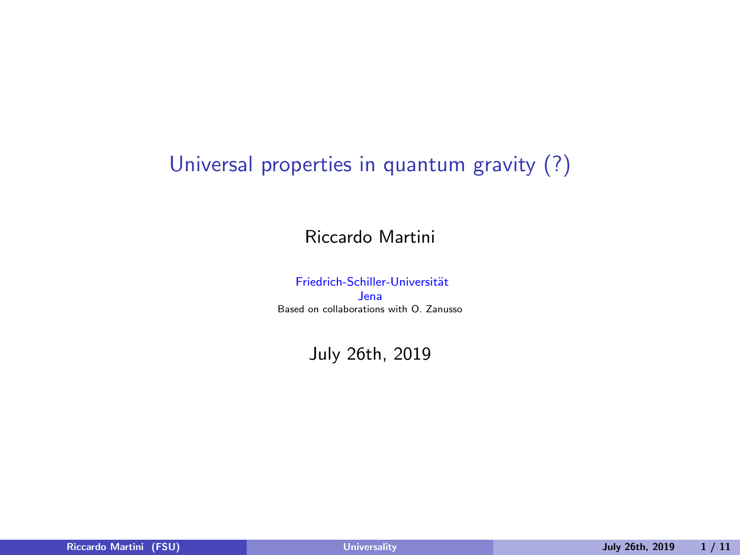## <span id="page-0-0"></span>Universal properties in quantum gravity (?)

Riccardo Martini

Friedrich-Schiller-Universität Jena Based on collaborations with O. Zanusso

July 26th, 2019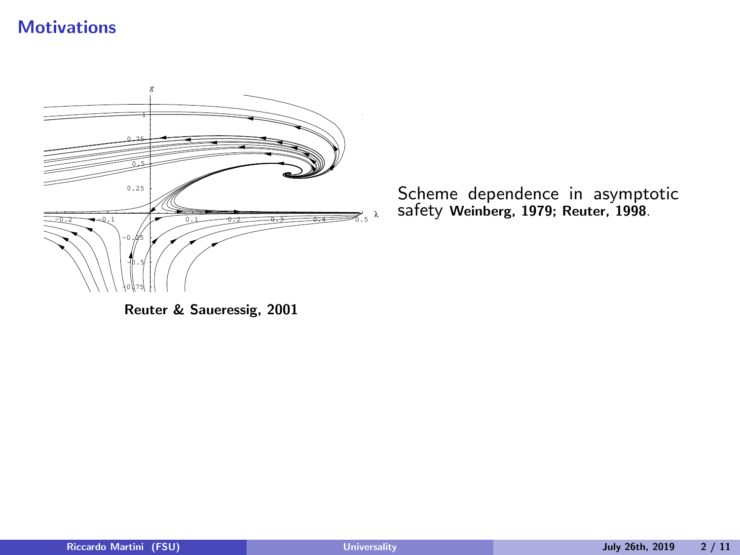#### **Motivations**



Scheme dependence in asymptotic safety Weinberg, 1979; Reuter, 1998.

Reuter & Saueressig, 2001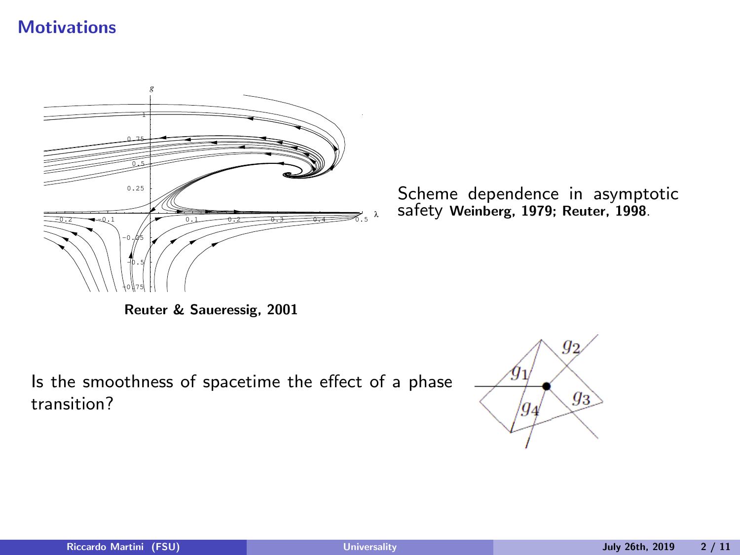#### **Motivations**



Scheme dependence in asymptotic safety Weinberg, 1979; Reuter, 1998.

Reuter & Saueressig, 2001

Is the smoothness of spacetime the effect of a phase transition?

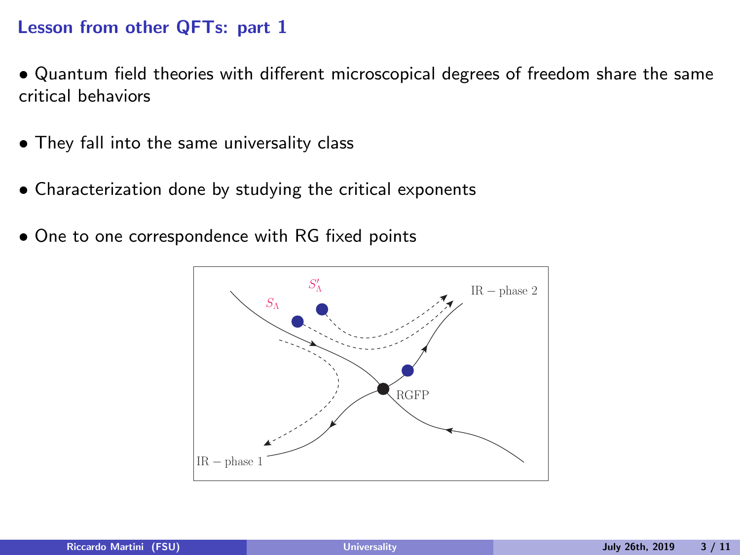#### Lesson from other QFTs: part 1

- Quantum field theories with different microscopical degrees of freedom share the same critical behaviors
- They fall into the same universality class
- Characterization done by studying the critical exponents
- One to one correspondence with RG fixed points

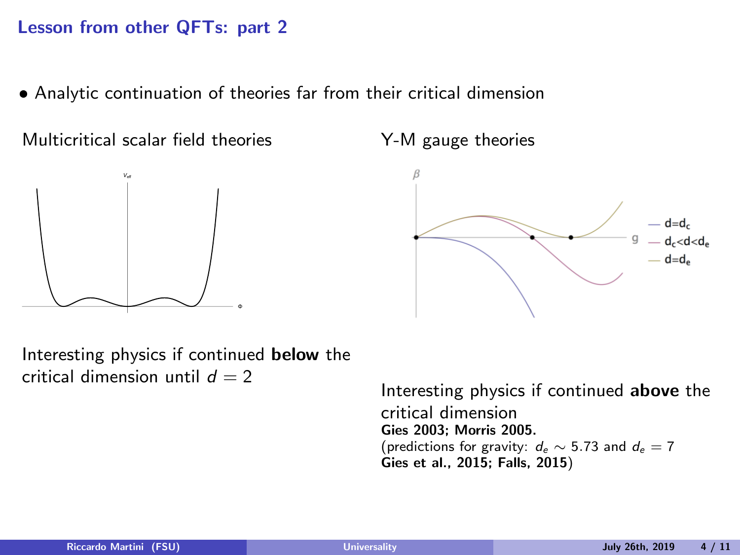#### Lesson from other QFTs: part 2

Analytic continuation of theories far from their critical dimension

Multicritical scalar field theories



Y-M gauge theories



Interesting physics if continued below the critical dimension until  $d = 2$ 

Interesting physics if continued above the critical dimension Gies 2003; Morris 2005. (predictions for gravity:  $d_e \sim 5.73$  and  $d_e = 7$ Gies et al., 2015; Falls, 2015)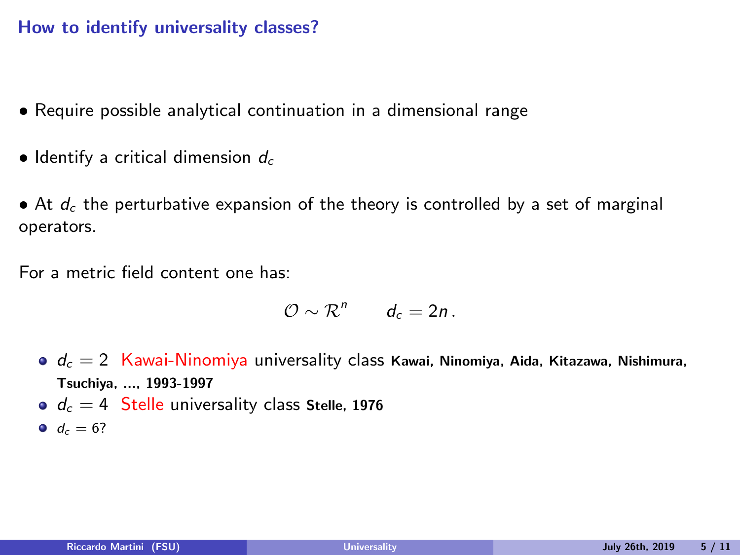#### How to identify universality classes?

- Require possible analytical continuation in a dimensional range
- $\bullet$  Identify a critical dimension  $d_c$
- $\bullet$  At  $d_c$  the perturbative expansion of the theory is controlled by a set of marginal operators.

For a metric field content one has:

$$
\mathcal{O}\sim\mathcal{R}^n\qquad d_c=2n.
$$

- $d_c = 2$  Kawai-Ninomiya universality class Kawai, Ninomiya, Aida, Kitazawa, Nishimura, Tsuchiya, ..., 1993-1997
- $d_c = 4$  Stelle universality class Stelle, 1976
- $d_c = 6?$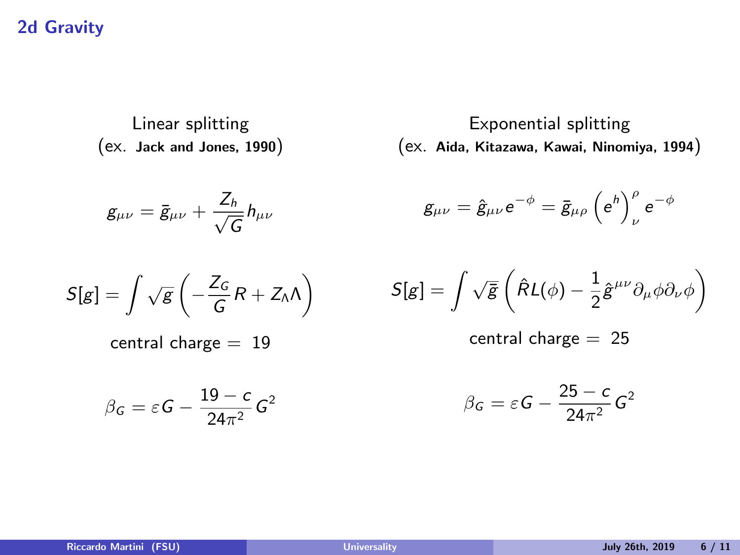#### 2d Gravity

Linear splitting (ex. Jack and Jones, 1990)

$$
g_{\mu\nu}=\bar{g}_{\mu\nu}+\frac{Z_h}{\sqrt{G}}h_{\mu\nu}
$$

Exponential splitting (ex. Aida, Kitazawa, Kawai, Ninomiya, 1994)

$$
g_{\mu\nu}=\hat{g}_{\mu\nu}\text{e}^{-\phi}=\bar{g}_{\mu\rho}\left(\text{e}^{\text{h}}\right)_{\nu}^{\rho}\text{e}^{-\phi}
$$

$$
S[g] = \int \sqrt{g} \left( -\frac{Z_G}{G} R + Z_{\Lambda} \Lambda \right)
$$

central charge  $= 19$ 

$$
\beta_G = \varepsilon G - \frac{19 - c}{24\pi^2} G^2
$$

$$
S[g] = \int \sqrt{\bar{g}} \left( \hat{R} L(\phi) - \frac{1}{2} \hat{g}^{\mu\nu} \partial_{\mu} \phi \partial_{\nu} \phi \right)
$$

central charge = 25

$$
\beta_G = \varepsilon G - \frac{25 - c}{24\pi^2} G^2
$$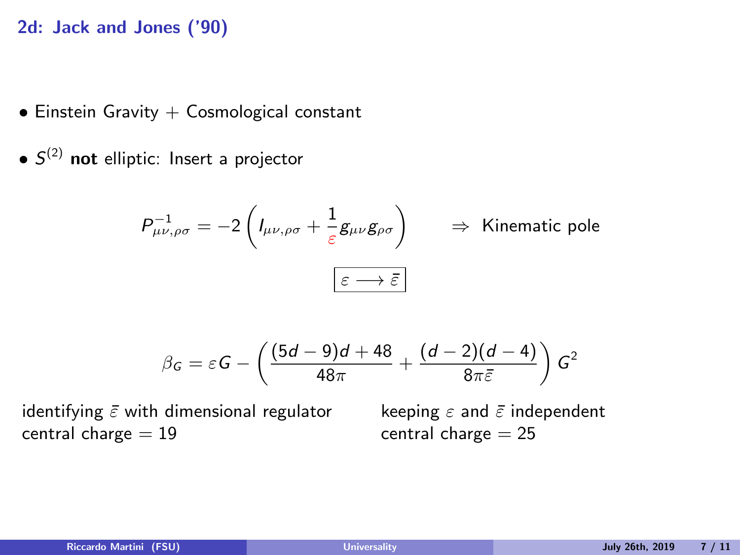#### 2d: Jack and Jones ('90)

- $\bullet$  Einstein Gravity  $+$  Cosmological constant
- $\bullet$   $S^{(2)}$  not elliptic: Insert a projector

$$
P^{-1}_{\mu\nu,\rho\sigma} = -2\left(I_{\mu\nu,\rho\sigma} + \frac{1}{\varepsilon}g_{\mu\nu}g_{\rho\sigma}\right) \Rightarrow \text{ Kinematic pole}
$$

$$
\boxed{\varepsilon \longrightarrow \bar{\varepsilon}}
$$

$$
\beta_G = \varepsilon G - \left(\frac{(5d-9)d+48}{48\pi} + \frac{(d-2)(d-4)}{8\pi\bar{\varepsilon}}\right)G^2
$$

identifying  $\bar{\varepsilon}$  with dimensional regulator central charge  $= 19$ 

keeping  $\varepsilon$  and  $\bar{\varepsilon}$  independent central charge  $= 25$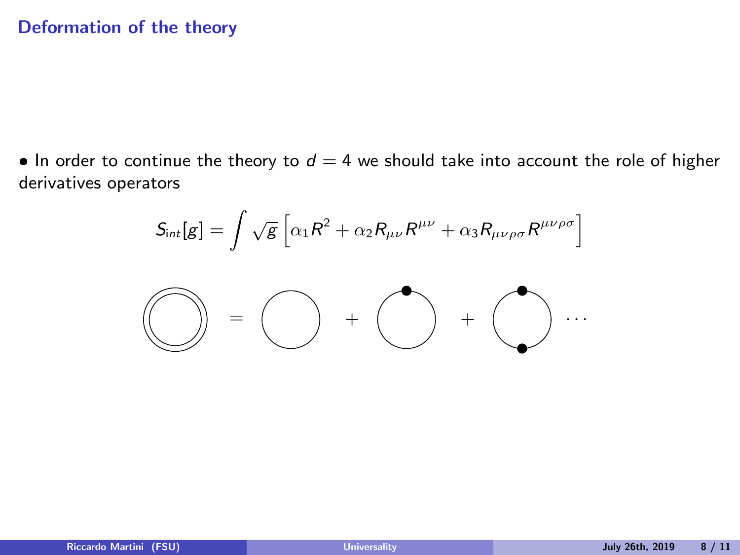#### Deformation of the theory

 $\bullet$  In order to continue the theory to  $d = 4$  we should take into account the role of higher derivatives operators

$$
S_{\text{int}}[g] = \int \sqrt{g} \left[ \alpha_1 R^2 + \alpha_2 R_{\mu\nu} R^{\mu\nu} + \alpha_3 R_{\mu\nu\rho\sigma} R^{\mu\nu\rho\sigma} \right]
$$

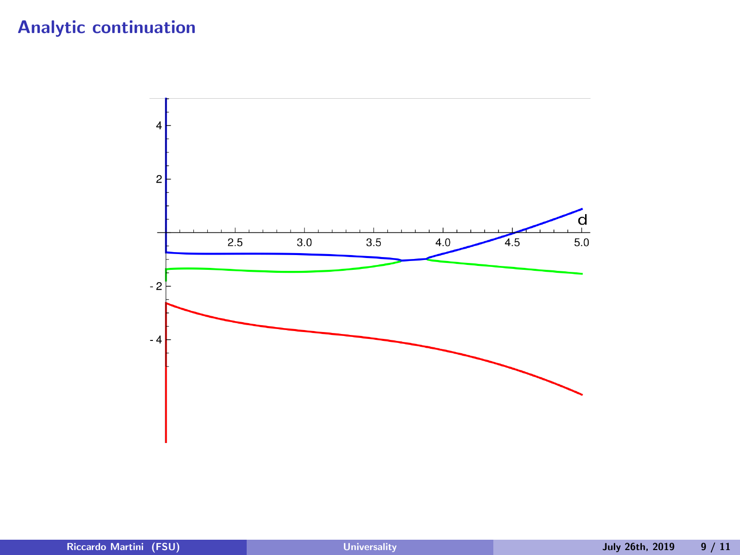### Analytic continuation

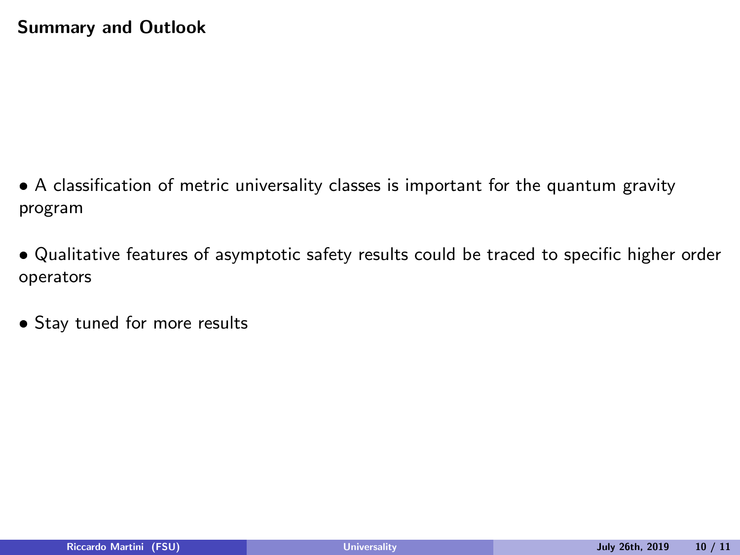- A classification of metric universality classes is important for the quantum gravity program
- Qualitative features of asymptotic safety results could be traced to specific higher order operators
- **Stay tuned for more results**